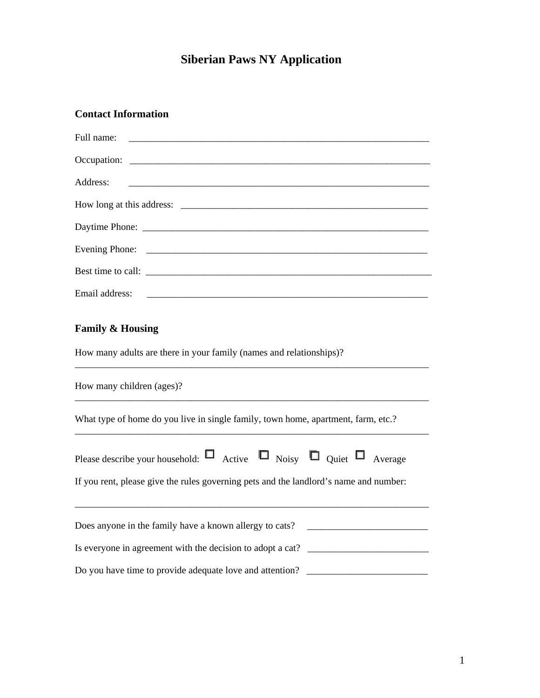## **Siberian Paws NY Application**

## **Contact Information**

| Full name:                                                                                                                                                                      |
|---------------------------------------------------------------------------------------------------------------------------------------------------------------------------------|
|                                                                                                                                                                                 |
| Address:                                                                                                                                                                        |
|                                                                                                                                                                                 |
|                                                                                                                                                                                 |
|                                                                                                                                                                                 |
|                                                                                                                                                                                 |
| Email address:                                                                                                                                                                  |
| <b>Family &amp; Housing</b><br>How many adults are there in your family (names and relationships)?                                                                              |
| How many children (ages)?                                                                                                                                                       |
| What type of home do you live in single family, town home, apartment, farm, etc.?                                                                                               |
| Please describe your household: $\Box$ Active $\Box$ Noisy $\Box$ Quiet $\Box$ Average<br>If you rent, please give the rules governing pets and the landlord's name and number: |
| Does anyone in the family have a known allergy to cats? _________________________                                                                                               |
| Is everyone in agreement with the decision to adopt a cat? ______________________                                                                                               |
| Do you have time to provide adequate love and attention?                                                                                                                        |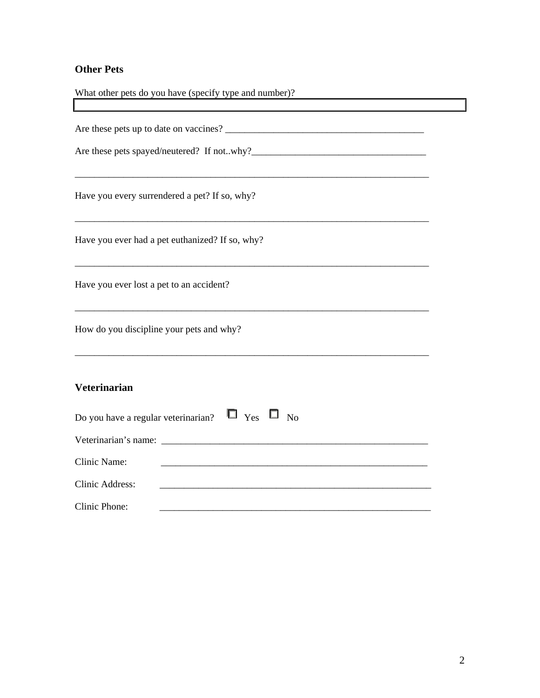## **Other Pets**

| What other pets do you have (specify type and number)?                                                                                                                                                                                                                                       |  |
|----------------------------------------------------------------------------------------------------------------------------------------------------------------------------------------------------------------------------------------------------------------------------------------------|--|
| <u> 1980 - Johann Barbara, martxa alemaniar arg</u>                                                                                                                                                                                                                                          |  |
| Have you every surrendered a pet? If so, why?                                                                                                                                                                                                                                                |  |
| Have you ever had a pet euthanized? If so, why?                                                                                                                                                                                                                                              |  |
| Have you ever lost a pet to an accident?                                                                                                                                                                                                                                                     |  |
| <u> 1989 - Johann John Stoff, deutscher Stoff als der Stoff als der Stoff als der Stoff als der Stoff als der Stoff</u><br>How do you discipline your pets and why?<br><u> 1989 - Johann Stoff, deutscher Stoff, der Stoff, der Stoff, der Stoff, der Stoff, der Stoff, der Stoff, der S</u> |  |
| <b>Veterinarian</b>                                                                                                                                                                                                                                                                          |  |
| Do you have a regular veterinarian? $\Box$ Yes $\Box$ No                                                                                                                                                                                                                                     |  |
|                                                                                                                                                                                                                                                                                              |  |
| Clinic Name:                                                                                                                                                                                                                                                                                 |  |
| Clinic Address:<br><u> 1989 - Johann John Stone, mars eta biztanleria (h. 1989).</u>                                                                                                                                                                                                         |  |
| Clinic Phone:                                                                                                                                                                                                                                                                                |  |